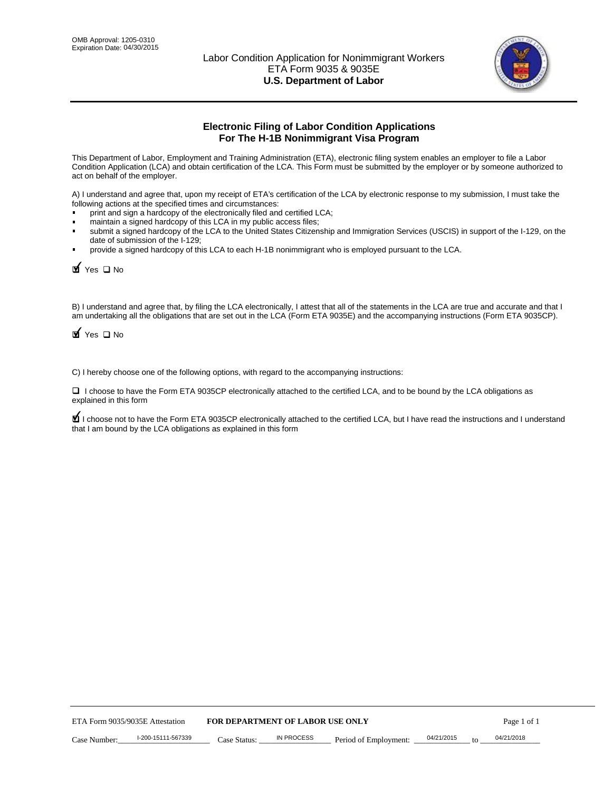

# **Electronic Filing of Labor Condition Applications For The H-1B Nonimmigrant Visa Program**

This Department of Labor, Employment and Training Administration (ETA), electronic filing system enables an employer to file a Labor Condition Application (LCA) and obtain certification of the LCA. This Form must be submitted by the employer or by someone authorized to act on behalf of the employer.

A) I understand and agree that, upon my receipt of ETA's certification of the LCA by electronic response to my submission, I must take the following actions at the specified times and circumstances:

- print and sign a hardcopy of the electronically filed and certified LCA;
- maintain a signed hardcopy of this LCA in my public access files;
- submit a signed hardcopy of the LCA to the United States Citizenship and Immigration Services (USCIS) in support of the I-129, on the date of submission of the I-129;
- provide a signed hardcopy of this LCA to each H-1B nonimmigrant who is employed pursuant to the LCA.

 $\blacktriangleright$  Yes  $\square$  No

B) I understand and agree that, by filing the LCA electronically, I attest that all of the statements in the LCA are true and accurate and that I am undertaking all the obligations that are set out in the LCA (Form ETA 9035E) and the accompanying instructions (Form ETA 9035CP).

 $\blacktriangleright$  Yes  $\square$  No

C) I hereby choose one of the following options, with regard to the accompanying instructions:

 I choose to have the Form ETA 9035CP electronically attached to the certified LCA, and to be bound by the LCA obligations as explained in this form

 $\blacklozenge$  I choose not to have the Form ETA 9035CP electronically attached to the certified LCA, but I have read the instructions and I understand that I am bound by the LCA obligations as explained in this form

|              | <b>FOR DEPARTMENT OF LABOR USE ONLY</b><br>ETA Form 9035/9035E Attestation |              |            |                       | Page 1 of 1 |  |            |  |
|--------------|----------------------------------------------------------------------------|--------------|------------|-----------------------|-------------|--|------------|--|
| Case Number: | I-200-15111-567339                                                         | Case Status: | IN PROCESS | Period of Employment: | 04/21/2015  |  | 04/21/2018 |  |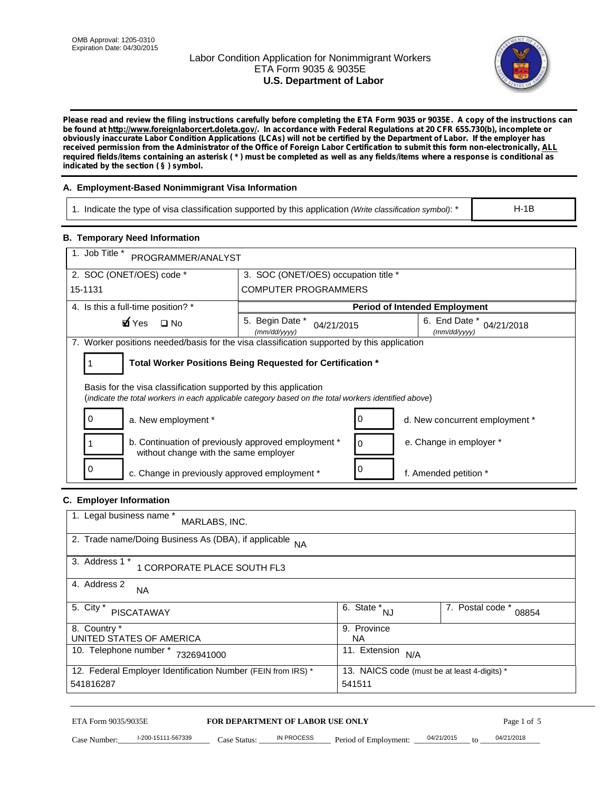# Labor Condition Application for Nonimmigrant Workers ETA Form 9035 & 9035E **U.S. Department of Labor**



*Please read and review the filing instructions carefully before completing the ETA Form 9035 or 9035E. A copy of the instructions can be found at http://www.foreignlaborcert.doleta.gov/. In accordance with Federal Regulations at 20 CFR 655.730(b), incomplete or obviously inaccurate Labor Condition Applications (LCAs) will not be certified by the Department of Labor. If the employer has received permission from the Administrator of the Office of Foreign Labor Certification to submit this form non-electronically, ALL required fields/items containing an asterisk ( \* ) must be completed as well as any fields/items where a response is conditional as indicated by the section ( § ) symbol.*

# **A. Employment-Based Nonimmigrant Visa Information**

1. Indicate the type of visa classification supported by this application *(Write classification symbol)*: \*

H-1B

# **B. Temporary Need Information**

| 1. Job Title *<br>PROGRAMMER/ANALYST                                                                                                                                    |                                                                                            |   |                                             |  |  |  |
|-------------------------------------------------------------------------------------------------------------------------------------------------------------------------|--------------------------------------------------------------------------------------------|---|---------------------------------------------|--|--|--|
| 2. SOC (ONET/OES) code *<br>3. SOC (ONET/OES) occupation title *                                                                                                        |                                                                                            |   |                                             |  |  |  |
| 15-1131                                                                                                                                                                 | <b>COMPUTER PROGRAMMERS</b>                                                                |   |                                             |  |  |  |
| 4. Is this a full-time position? *                                                                                                                                      |                                                                                            |   | <b>Period of Intended Employment</b>        |  |  |  |
| Myes □ No                                                                                                                                                               | 5. Begin Date *<br>04/21/2015<br>(mm/dd/yyyy)                                              |   | 6. End Date *<br>04/21/2018<br>(mm/dd/yyyy) |  |  |  |
|                                                                                                                                                                         | 7. Worker positions needed/basis for the visa classification supported by this application |   |                                             |  |  |  |
|                                                                                                                                                                         | Total Worker Positions Being Requested for Certification *                                 |   |                                             |  |  |  |
| Basis for the visa classification supported by this application<br>(indicate the total workers in each applicable category based on the total workers identified above) |                                                                                            |   |                                             |  |  |  |
| 0<br>a. New employment *<br>d. New concurrent employment *                                                                                                              |                                                                                            |   |                                             |  |  |  |
| b. Continuation of previously approved employment *<br>without change with the same employer                                                                            |                                                                                            | 0 | e. Change in employer *                     |  |  |  |
| 0<br>c. Change in previously approved employment *                                                                                                                      |                                                                                            |   | f. Amended petition *                       |  |  |  |

# **C. Employer Information**

| 1. Legal business name *<br>MARLABS, INC.                         |                                              |                           |
|-------------------------------------------------------------------|----------------------------------------------|---------------------------|
| 2. Trade name/Doing Business As (DBA), if applicable<br><b>NA</b> |                                              |                           |
| 3. Address 1 *<br>1 CORPORATE PLACE SOUTH FL3                     |                                              |                           |
| 4. Address 2<br><b>NA</b>                                         |                                              |                           |
| 5. City *<br><b>PISCATAWAY</b>                                    | $\overline{6}$ . State *<br>NJ               | 7. Postal code *<br>08854 |
| 8. Country *                                                      | 9. Province                                  |                           |
| UNITED STATES OF AMERICA                                          | NA.                                          |                           |
| 10. Telephone number *<br>7326941000                              | 11. Extension<br>N/A                         |                           |
| 12. Federal Employer Identification Number (FEIN from IRS) *      | 13. NAICS code (must be at least 4-digits) * |                           |
| 541816287                                                         | 541511                                       |                           |

# ETA Form 9035/9035E **FOR DEPARTMENT OF LABOR USE ONLY** Page 1 of 5<br>Case Number: 1-200-15111-567339 Case Status: IN PROCESS Period of Employment: 04/21/2015 to 04/21/2018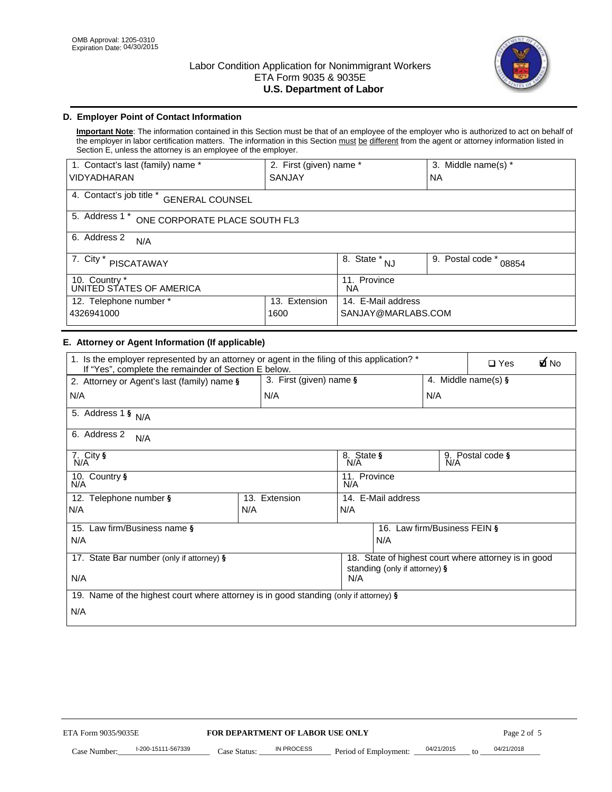

# **D. Employer Point of Contact Information**

**Important Note**: The information contained in this Section must be that of an employee of the employer who is authorized to act on behalf of the employer in labor certification matters. The information in this Section must be different from the agent or attorney information listed in Section E, unless the attorney is an employee of the employer.

| 2. First (given) name *<br>1. Contact's last (family) name * |               |                                         | 3. Middle name(s) *       |  |
|--------------------------------------------------------------|---------------|-----------------------------------------|---------------------------|--|
| <b>VIDYADHARAN</b>                                           | <b>SANJAY</b> |                                         | <b>NA</b>                 |  |
| 4. Contact's job title *<br><b>GENERAL COUNSEL</b>           |               |                                         |                           |  |
| 5. Address 1 *<br>ONE CORPORATE PLACE SOUTH FL3              |               |                                         |                           |  |
| 6. Address 2<br>N/A                                          |               |                                         |                           |  |
| 7. City *<br>PISCATAWAY                                      |               | $\overline{8.}$ State $*_{\mathsf{NJ}}$ | 9. Postal code *<br>08854 |  |
| 10. Country *<br>UNITED STATES OF AMERICA                    |               | 11. Province<br>ΝA                      |                           |  |
| Extension<br>12. Telephone number *<br>13.                   |               | 14. E-Mail address                      |                           |  |
| 4326941000                                                   | 1600          | SANJAY@MARLABS.COM                      |                           |  |

# **E. Attorney or Agent Information (If applicable)**

| 1. Is the employer represented by an attorney or agent in the filing of this application? *<br>If "Yes", complete the remainder of Section E below. |     |                                         |                     |                              | ØNo<br>$\Box$ Yes       |                                                      |  |  |
|-----------------------------------------------------------------------------------------------------------------------------------------------------|-----|-----------------------------------------|---------------------|------------------------------|-------------------------|------------------------------------------------------|--|--|
| 3. First (given) name $\S$<br>2. Attorney or Agent's last (family) name §                                                                           |     |                                         |                     | 4. Middle name(s) $\S$       |                         |                                                      |  |  |
| N/A                                                                                                                                                 |     | N/A                                     |                     |                              | N/A                     |                                                      |  |  |
| 5. Address 1 § $N/A$                                                                                                                                |     |                                         |                     |                              |                         |                                                      |  |  |
| 6. Address 2<br>N/A                                                                                                                                 |     |                                         |                     |                              |                         |                                                      |  |  |
| 7. City §<br>N/A                                                                                                                                    |     |                                         | 8. State §<br>N/A   |                              | 9. Postal code §<br>N/A |                                                      |  |  |
| 10. Country §<br>N/A                                                                                                                                |     |                                         | 11. Province<br>N/A |                              |                         |                                                      |  |  |
| 12. Telephone number §                                                                                                                              |     | 13. Extension                           |                     | 14. E-Mail address           |                         |                                                      |  |  |
| N/A                                                                                                                                                 | N/A |                                         | N/A                 |                              |                         |                                                      |  |  |
| 15. Law firm/Business name §                                                                                                                        |     |                                         |                     | 16. Law firm/Business FEIN § |                         |                                                      |  |  |
| N/A                                                                                                                                                 |     |                                         |                     | N/A                          |                         |                                                      |  |  |
| 17. State Bar number (only if attorney) §                                                                                                           |     |                                         |                     |                              |                         | 18. State of highest court where attorney is in good |  |  |
| N/A                                                                                                                                                 |     | standing (only if attorney) $\S$<br>N/A |                     |                              |                         |                                                      |  |  |
| 19. Name of the highest court where attorney is in good standing (only if attorney) §                                                               |     |                                         |                     |                              |                         |                                                      |  |  |
| N/A                                                                                                                                                 |     |                                         |                     |                              |                         |                                                      |  |  |
|                                                                                                                                                     |     |                                         |                     |                              |                         |                                                      |  |  |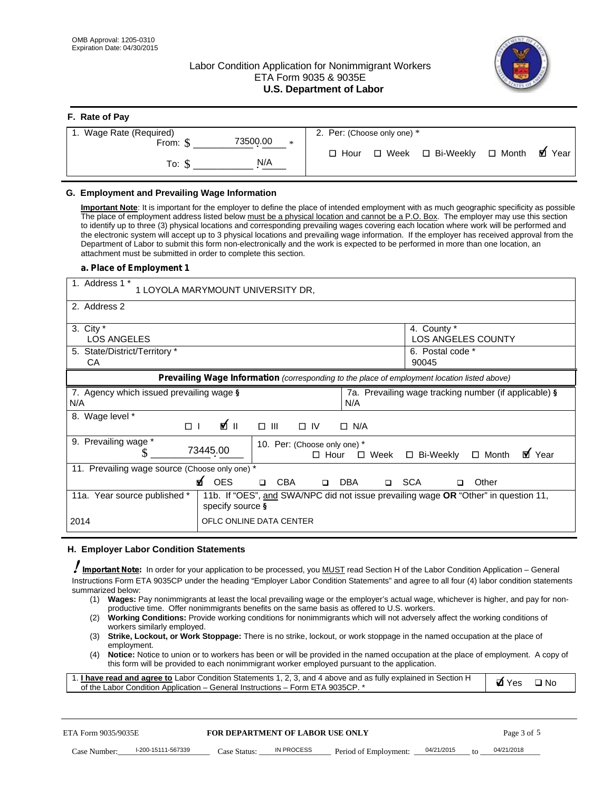# Labor Condition Application for Nonimmigrant Workers ETA Form 9035 & 9035E **U.S. Department of Labor**



| F. Rate of Pay          |                             |             |  |                            |  |         |  |
|-------------------------|-----------------------------|-------------|--|----------------------------|--|---------|--|
| 1. Wage Rate (Required) | 2. Per: (Choose only one) * |             |  |                            |  |         |  |
| From: \$                | 73500.00<br>$*$             |             |  |                            |  |         |  |
| To: \$                  | N/A                         | $\Box$ Hour |  | □ Week □ Bi-Weekly □ Month |  | MZ Year |  |
|                         |                             |             |  |                            |  |         |  |

### **G. Employment and Prevailing Wage Information**

**Important Note**: It is important for the employer to define the place of intended employment with as much geographic specificity as possible The place of employment address listed below must be a physical location and cannot be a P.O. Box. The employer may use this section to identify up to three (3) physical locations and corresponding prevailing wages covering each location where work will be performed and the electronic system will accept up to 3 physical locations and prevailing wage information. If the employer has received approval from the Department of Labor to submit this form non-electronically and the work is expected to be performed in more than one location, an attachment must be submitted in order to complete this section.

#### *a. Place of Employment 1*

| 1. Address 1 *<br>1 LOYOLA MARYMOUNT UNIVERSITY DR, |                                                                                                        |  |  |  |  |  |
|-----------------------------------------------------|--------------------------------------------------------------------------------------------------------|--|--|--|--|--|
| 2. Address 2                                        |                                                                                                        |  |  |  |  |  |
| 3. City *<br><b>LOS ANGELES</b>                     | 4. County *<br><b>LOS ANGELES COUNTY</b>                                                               |  |  |  |  |  |
| 5. State/District/Territory *<br>CA                 | 6. Postal code *<br>90045                                                                              |  |  |  |  |  |
|                                                     | Prevailing Wage Information (corresponding to the place of employment location listed above)           |  |  |  |  |  |
| 7. Agency which issued prevailing wage §<br>N/A     | 7a. Prevailing wage tracking number (if applicable) §<br>N/A                                           |  |  |  |  |  |
| Wage level *<br>8.<br>⊪ ∕ם<br>$\Box$                | $\Box$ $\Box$<br>$\Box$ IV<br>$\Box$ N/A                                                               |  |  |  |  |  |
| 9. Prevailing wage *<br>73445.00                    | 10. Per: (Choose only one) *<br>M Year<br>□ Bi-Weekly<br>$\Box$ Month<br>$\Box$ Week<br>$\square$ Hour |  |  |  |  |  |
| 11. Prevailing wage source (Choose only one) *      |                                                                                                        |  |  |  |  |  |
| MZ OES                                              | <b>CBA</b><br><b>DBA</b><br><b>SCA</b><br>◻<br>Other<br>$\Box$<br>$\Box$<br>$\Box$                     |  |  |  |  |  |
| 11a. Year source published *<br>specify source §    | 11b. If "OES", and SWA/NPC did not issue prevailing wage OR "Other" in question 11,                    |  |  |  |  |  |
| 2014                                                | OFLC ONLINE DATA CENTER                                                                                |  |  |  |  |  |

#### **H. Employer Labor Condition Statements**

 *Important Note:* In order for your application to be processed, you MUST read Section H of the Labor Condition Application – General Instructions Form ETA 9035CP under the heading "Employer Labor Condition Statements" and agree to all four (4) labor condition statements summarized below:

- (1) **Wages:** Pay nonimmigrants at least the local prevailing wage or the employer's actual wage, whichever is higher, and pay for nonproductive time. Offer nonimmigrants benefits on the same basis as offered to U.S. workers.
- (2) **Working Conditions:** Provide working conditions for nonimmigrants which will not adversely affect the working conditions of workers similarly employed.
- (3) **Strike, Lockout, or Work Stoppage:** There is no strike, lockout, or work stoppage in the named occupation at the place of employment.
- (4) **Notice:** Notice to union or to workers has been or will be provided in the named occupation at the place of employment. A copy of this form will be provided to each nonimmigrant worker employed pursuant to the application.

| 1. I have read and agree to Labor Condition Statements 1, 2, 3, and 4 above and as fully explained in Section H | dyes<br>$\Box$ No |  |
|-----------------------------------------------------------------------------------------------------------------|-------------------|--|
| of the Labor Condition Application – General Instructions – Form ETA 9035CP. *                                  |                   |  |

| ETA Form 9035/9035E |                    | <b>FOR DEPARTMENT OF LABOR USE ONLY</b> |            |                                            |  | Page 3 of 5 |            |  |
|---------------------|--------------------|-----------------------------------------|------------|--------------------------------------------|--|-------------|------------|--|
| Case Number:        | l-200-15111-567339 | Case Status:                            | IN PROCESS | Period of Employment: $\frac{04/21}{2015}$ |  | $\sim$ to   | 04/21/2018 |  |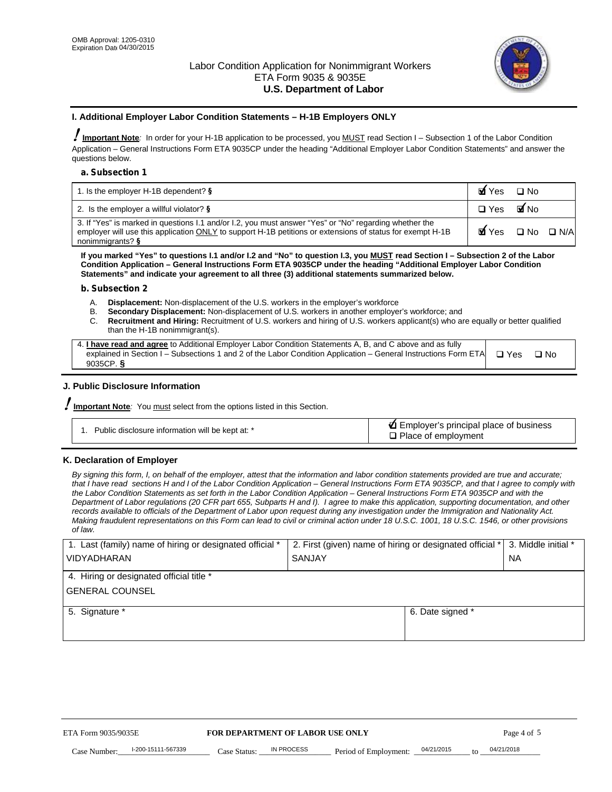

#### **I. Additional Employer Labor Condition Statements – H-1B Employers ONLY**

**Important Note***:* In order for your H-1B application to be processed, you MUST read Section I – Subsection 1 of the Labor Condition Application – General Instructions Form ETA 9035CP under the heading "Additional Employer Labor Condition Statements" and answer the questions below.

#### *a. Subsection 1*

| 1. Is the employer H-1B dependent? §                                                                                                                                                                                                    | MIYes         | ⊟ No            |  |
|-----------------------------------------------------------------------------------------------------------------------------------------------------------------------------------------------------------------------------------------|---------------|-----------------|--|
| 2. Is the employer a willful violator? $\S$                                                                                                                                                                                             | $\square$ Yes | MI No           |  |
| 3. If "Yes" is marked in questions I.1 and/or I.2, you must answer "Yes" or "No" regarding whether the<br>employer will use this application ONLY to support H-1B petitions or extensions of status for exempt H-1B<br>nonimmigrants? § |               | My Yes ⊡No ⊡N/A |  |

**If you marked "Yes" to questions I.1 and/or I.2 and "No" to question I.3, you MUST read Section I – Subsection 2 of the Labor Condition Application – General Instructions Form ETA 9035CP under the heading "Additional Employer Labor Condition Statements" and indicate your agreement to all three (3) additional statements summarized below.**

#### *b. Subsection 2*

- A. **Displacement:** Non-displacement of the U.S. workers in the employer's workforce B. **Secondary Displacement:** Non-displacement of U.S. workers in another employer
	- B. **Secondary Displacement:** Non-displacement of U.S. workers in another employer's workforce; and
- C. **Recruitment and Hiring:** Recruitment of U.S. workers and hiring of U.S. workers applicant(s) who are equally or better qualified than the H-1B nonimmigrant(s).

| 4. I have read and agree to Additional Employer Labor Condition Statements A, B, and C above and as fully                  |           |  |
|----------------------------------------------------------------------------------------------------------------------------|-----------|--|
| explained in Section I – Subsections 1 and 2 of the Labor Condition Application – General Instructions Form ETA $\Box$ Yes | $\Box$ No |  |
| 9035CP. $\S$                                                                                                               |           |  |

# **J. Public Disclosure Information**

**Important Note***:* You must select from the options listed in this Section.

# **K. Declaration of Employer**

*By signing this form, I, on behalf of the employer, attest that the information and labor condition statements provided are true and accurate; that I have read sections H and I of the Labor Condition Application – General Instructions Form ETA 9035CP, and that I agree to comply with the Labor Condition Statements as set forth in the Labor Condition Application – General Instructions Form ETA 9035CP and with the Department of Labor regulations (20 CFR part 655, Subparts H and I). I agree to make this application, supporting documentation, and other records available to officials of the Department of Labor upon request during any investigation under the Immigration and Nationality Act. Making fraudulent representations on this Form can lead to civil or criminal action under 18 U.S.C. 1001, 18 U.S.C. 1546, or other provisions of law.*

| 1. Last (family) name of hiring or designated official * | 2. First (given) name of hiring or designated official * 3. Middle initial * |           |
|----------------------------------------------------------|------------------------------------------------------------------------------|-----------|
| <b>VIDYADHARAN</b>                                       | <b>SANJAY</b>                                                                | <b>NA</b> |
| 4. Hiring or designated official title *                 |                                                                              |           |
| <b>GENERAL COUNSEL</b>                                   |                                                                              |           |
| 5. Signature *                                           | 6. Date signed *                                                             |           |
|                                                          |                                                                              |           |
|                                                          |                                                                              |           |